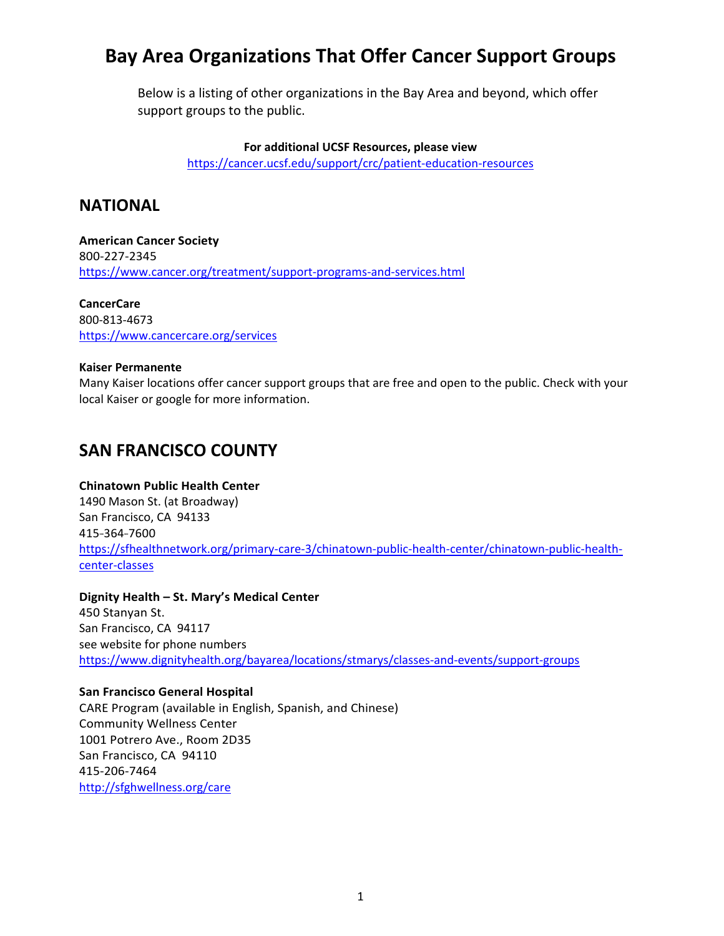Below is a listing of other organizations in the Bay Area and beyond, which offer support groups to the public.

**For additional UCSF Resources, please view**

<https://cancer.ucsf.edu/support/crc/patient-education-resources>

### **NATIONAL**

**American Cancer Society**  800-227-2345 <https://www.cancer.org/treatment/support-programs-and-services.html>

**CancerCare** 800-813-4673 <https://www.cancercare.org/services>

#### **Kaiser Permanente**

Many Kaiser locations offer cancer support groups that are free and open to the public. Check with your local Kaiser or google for more information.

### **SAN FRANCISCO COUNTY**

#### **Chinatown Public Health Center**

1490 Mason St. (at Broadway) San Francisco, CA 94133 415-364-7600 [https://sfhealthnetwork.org/primary-care-3/chinatown-public-health-center/chinatown-public-health](https://sfhealthnetwork.org/primary-care-3/chinatown-public-health-center/chinatown-public-health-center-classes)[center-classes](https://sfhealthnetwork.org/primary-care-3/chinatown-public-health-center/chinatown-public-health-center-classes)

#### **Dignity Health – St. Mary's Medical Center**

450 Stanyan St. San Francisco, CA 94117 see website for phone numbers <https://www.dignityhealth.org/bayarea/locations/stmarys/classes-and-events/support-groups>

#### **San Francisco General Hospital**

CARE Program (available in English, Spanish, and Chinese) Community Wellness Center 1001 Potrero Ave., Room 2D35 San Francisco, CA 94110 415-206-7464 <http://sfghwellness.org/care>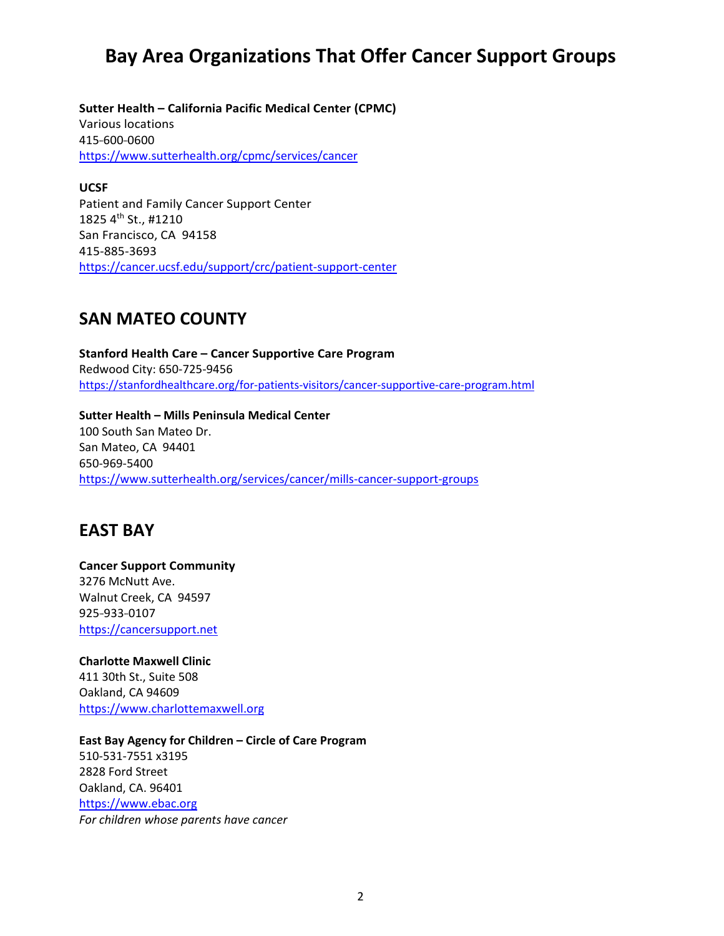**Sutter Health – California Pacific Medical Center (CPMC)**  Various locations 415-600-0600 <https://www.sutterhealth.org/cpmc/services/cancer>

**UCSF** Patient and Family Cancer Support Center 1825 4th St., #1210 San Francisco, CA 94158 415-885-3693 <https://cancer.ucsf.edu/support/crc/patient-support-center>

### **SAN MATEO COUNTY**

**Stanford Health Care – Cancer Supportive Care Program** Redwood City: 650-725-9456 <https://stanfordhealthcare.org/for-patients-visitors/cancer-supportive-care-program.html>

**Sutter Health – Mills Peninsula Medical Center** 100 South San Mateo Dr. San Mateo, CA 94401 650-969-5400 <https://www.sutterhealth.org/services/cancer/mills-cancer-support-groups>

### **EAST BAY**

**Cancer Support Community** 3276 McNutt Ave. Walnut Creek, CA 94597 925-933-0107 [https://cancersupport.net](https://cancersupport.net/)

**Charlotte Maxwell Clinic** 411 30th St., Suite 508 Oakland, CA 94609 [https://www.charlottemaxwell.org](https://www.charlottemaxwell.org/)

**East Bay Agency for Children – Circle of Care Program** 510-531-7551 x3195 2828 Ford Street Oakland, CA. 96401 [https://www.ebac.org](https://www.ebac.org/) *For children whose parents have cancer*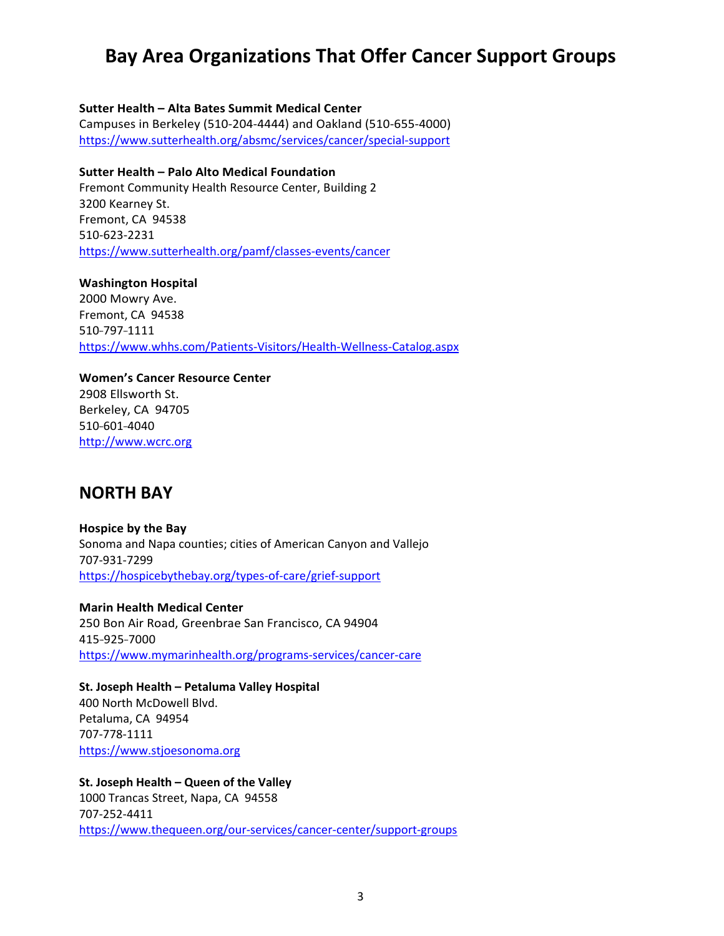#### **Sutter Health – Alta Bates Summit Medical Center**

Campuses in Berkeley (510-204-4444) and Oakland (510-655-4000) <https://www.sutterhealth.org/absmc/services/cancer/special-support>

#### **Sutter Health – Palo Alto Medical Foundation**

Fremont Community Health Resource Center, Building 2 3200 Kearney St. Fremont, CA 94538 510-623-2231 <https://www.sutterhealth.org/pamf/classes-events/cancer>

**Washington Hospital** 2000 Mowry Ave. Fremont, CA 94538 510-797-1111 <https://www.whhs.com/Patients-Visitors/Health-Wellness-Catalog.aspx>

**Women's Cancer Resource Center** 2908 Ellsworth St. Berkeley, CA 94705 510-601-4040 [http://www.wcrc.org](http://www.wcrc.org/)

### **NORTH BAY**

**Hospice by the Bay** Sonoma and Napa counties; cities of American Canyon and Vallejo 707-931-7299 [https://hospicebythebay.org/types-of-care/grief-support](https://hospicebythebay.org/types-of-care/grief-support/)

**Marin Health Medical Center** 250 Bon Air Road, Greenbrae San Francisco, CA 94904 415-925-7000 <https://www.mymarinhealth.org/programs-services/cancer-care>

**St. Joseph Health – Petaluma Valley Hospital**  400 North McDowell Blvd. Petaluma, CA 94954 707-778-1111 [https://www.stjoesonoma.org](https://www.stjoesonoma.org/)

**St. Joseph Health – Queen of the Valley**  1000 Trancas Street, Napa, CA 94558 707-252-4411 <https://www.thequeen.org/our-services/cancer-center/support-groups>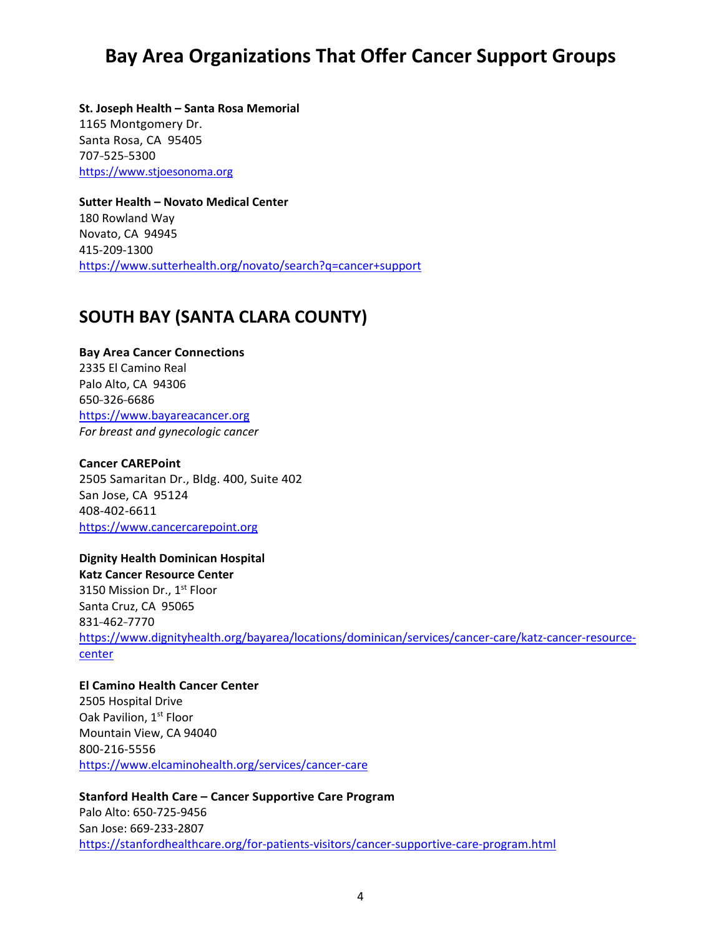**St. Joseph Health – Santa Rosa Memorial** 1165 Montgomery Dr. Santa Rosa, CA 95405 707-525-5300 [https://www.stjoesonoma.org](https://www.stjoesonoma.org/)

**Sutter Health – Novato Medical Center** 180 Rowland Way Novato, CA 94945 415-209-1300 <https://www.sutterhealth.org/novato/search?q=cancer+support>

### **SOUTH BAY (SANTA CLARA COUNTY)**

**Bay Area Cancer Connections** 2335 El Camino Real Palo Alto, CA 94306 650-326-6686 [https://www.bayareacancer.org](https://www.bayareacancer.org/) *For breast and gynecologic cancer*

#### **Cancer CAREPoint**

2505 Samaritan Dr., Bldg. 400, Suite 402 San Jose, CA 95124 408-402-6611 [https://www.cancercarepoint.org](https://www.cancercarepoint.org/)

**Dignity Health Dominican Hospital Katz Cancer Resource Center** 3150 Mission Dr., 1<sup>st</sup> Floor Santa Cruz, CA 95065 831-462-7770 [https://www.dignityhealth.org/bayarea/locations/dominican/services/cancer-care/katz-cancer-resource](https://www.dignityhealth.org/bayarea/locations/dominican/services/cancer-care/katz-cancer-resource-center)[center](https://www.dignityhealth.org/bayarea/locations/dominican/services/cancer-care/katz-cancer-resource-center)

#### **El Camino Health Cancer Center**

2505 Hospital Drive Oak Pavilion, 1<sup>st</sup> Floor Mountain View, CA 94040 800-216-5556 <https://www.elcaminohealth.org/services/cancer-care>

**Stanford Health Care – Cancer Supportive Care Program** Palo Alto: 650-725-9456 San Jose: 669-233-2807 <https://stanfordhealthcare.org/for-patients-visitors/cancer-supportive-care-program.html>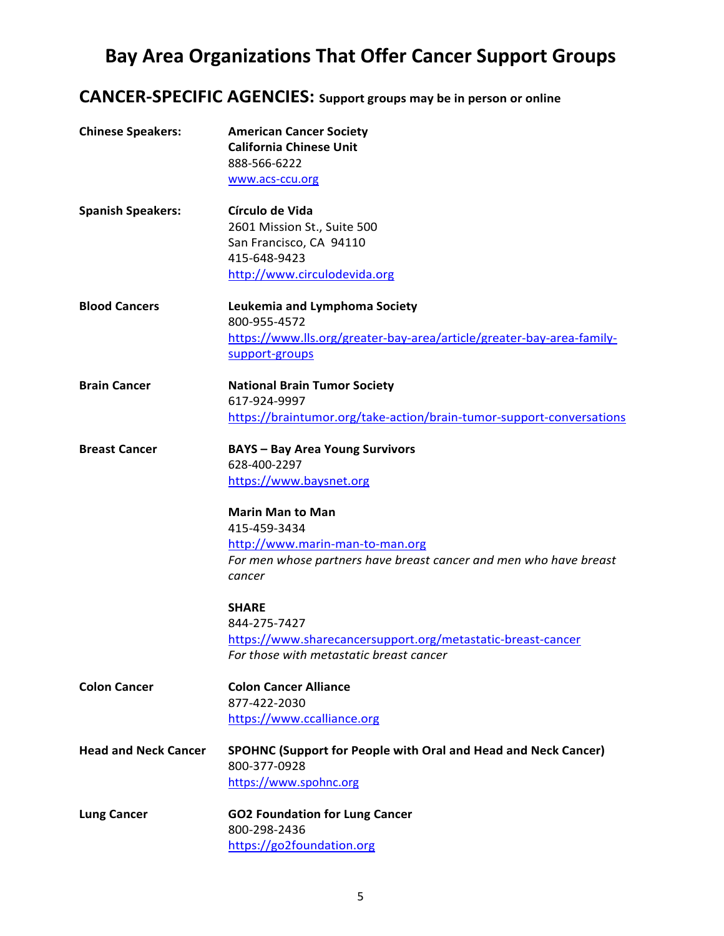## **CANCER-SPECIFIC AGENCIES: Support groups may be in person or online**

| <b>Chinese Speakers:</b>    | <b>American Cancer Society</b><br><b>California Chinese Unit</b><br>888-566-6222<br>www.acs-ccu.org |
|-----------------------------|-----------------------------------------------------------------------------------------------------|
|                             |                                                                                                     |
| <b>Spanish Speakers:</b>    | Círculo de Vida                                                                                     |
|                             | 2601 Mission St., Suite 500                                                                         |
|                             | San Francisco, CA 94110                                                                             |
|                             | 415-648-9423                                                                                        |
|                             | http://www.circulodevida.org                                                                        |
| <b>Blood Cancers</b>        | Leukemia and Lymphoma Society<br>800-955-4572                                                       |
|                             | https://www.lls.org/greater-bay-area/article/greater-bay-area-family-                               |
|                             | support-groups                                                                                      |
| <b>Brain Cancer</b>         | <b>National Brain Tumor Society</b>                                                                 |
|                             | 617-924-9997                                                                                        |
|                             | https://braintumor.org/take-action/brain-tumor-support-conversations                                |
| <b>Breast Cancer</b>        | <b>BAYS - Bay Area Young Survivors</b>                                                              |
|                             | 628-400-2297                                                                                        |
|                             | https://www.baysnet.org                                                                             |
|                             | <b>Marin Man to Man</b>                                                                             |
|                             | 415-459-3434                                                                                        |
|                             | http://www.marin-man-to-man.org                                                                     |
|                             | For men whose partners have breast cancer and men who have breast                                   |
|                             | cancer                                                                                              |
|                             | <b>SHARE</b>                                                                                        |
|                             | 844-275-7427                                                                                        |
|                             | https://www.sharecancersupport.org/metastatic-breast-cancer                                         |
|                             | For those with metastatic breast cancer                                                             |
| <b>Colon Cancer</b>         | <b>Colon Cancer Alliance</b>                                                                        |
|                             | 877-422-2030                                                                                        |
|                             | https://www.ccalliance.org                                                                          |
| <b>Head and Neck Cancer</b> | <b>SPOHNC (Support for People with Oral and Head and Neck Cancer)</b>                               |
|                             | 800-377-0928                                                                                        |
|                             | https://www.spohnc.org                                                                              |
| <b>Lung Cancer</b>          | <b>GO2 Foundation for Lung Cancer</b>                                                               |
|                             | 800-298-2436                                                                                        |
|                             | https://go2foundation.org                                                                           |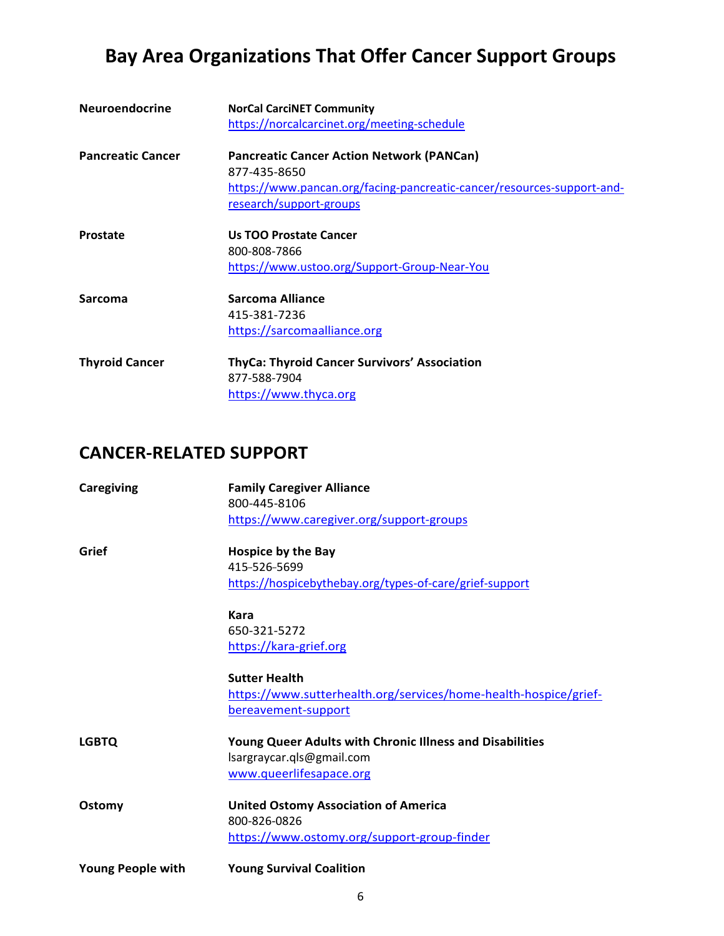| <b>Neuroendocrine</b>    | <b>NorCal CarciNET Community</b>                                       |
|--------------------------|------------------------------------------------------------------------|
|                          | https://norcalcarcinet.org/meeting-schedule                            |
| <b>Pancreatic Cancer</b> | <b>Pancreatic Cancer Action Network (PANCan)</b>                       |
|                          | 877-435-8650                                                           |
|                          | https://www.pancan.org/facing-pancreatic-cancer/resources-support-and- |
|                          | research/support-groups                                                |
| <b>Prostate</b>          | <b>Us TOO Prostate Cancer</b>                                          |
|                          | 800-808-7866                                                           |
|                          | https://www.ustoo.org/Support-Group-Near-You                           |
| <b>Sarcoma</b>           | Sarcoma Alliance                                                       |
|                          | 415-381-7236                                                           |
|                          | https://sarcomaalliance.org                                            |
| <b>Thyroid Cancer</b>    | <b>ThyCa: Thyroid Cancer Survivors' Association</b>                    |
|                          | 877-588-7904                                                           |
|                          | https://www.thyca.org                                                  |

## **CANCER-RELATED SUPPORT**

| Caregiving               | <b>Family Caregiver Alliance</b>                                 |
|--------------------------|------------------------------------------------------------------|
|                          | 800-445-8106                                                     |
|                          | https://www.caregiver.org/support-groups                         |
| Grief                    | Hospice by the Bay                                               |
|                          | 415-526-5699                                                     |
|                          | https://hospicebythebay.org/types-of-care/grief-support          |
|                          | <b>Kara</b>                                                      |
|                          | 650-321-5272                                                     |
|                          | https://kara-grief.org                                           |
|                          | <b>Sutter Health</b>                                             |
|                          | https://www.sutterhealth.org/services/home-health-hospice/grief- |
|                          | bereavement-support                                              |
| <b>LGBTQ</b>             | Young Queer Adults with Chronic Illness and Disabilities         |
|                          | lsargraycar.qls@gmail.com                                        |
|                          | www.queerlifesapace.org                                          |
| Ostomy                   | <b>United Ostomy Association of America</b>                      |
|                          | 800-826-0826                                                     |
|                          | https://www.ostomy.org/support-group-finder                      |
| <b>Young People with</b> | <b>Young Survival Coalition</b>                                  |